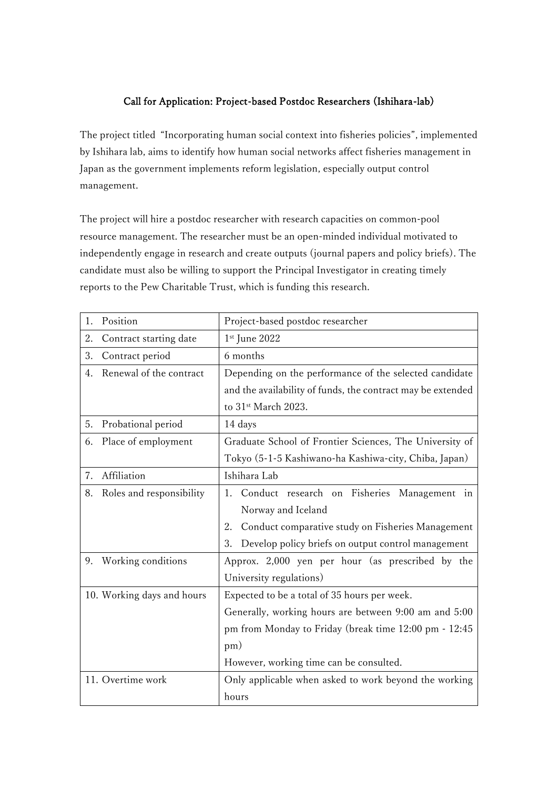## Call for Application: Project-based Postdoc Researchers (Ishihara-lab)

The project titled "Incorporating human social context into fisheries policies", implemented by Ishihara lab, aims to identify how human social networks affect fisheries management in Japan as the government implements reform legislation, especially output control management.

The project will hire a postdoc researcher with research capacities on common-pool resource management. The researcher must be an open-minded individual motivated to independently engage in research and create outputs (journal papers and policy briefs). The candidate must also be willing to support the Principal Investigator in creating timely reports to the Pew Charitable Trust, which is funding this research.

| Position<br>1.                 | Project-based postdoc researcher                            |
|--------------------------------|-------------------------------------------------------------|
| 2.<br>Contract starting date   | 1st June 2022                                               |
| 3.<br>Contract period          | 6 months                                                    |
| Renewal of the contract<br>4.  | Depending on the performance of the selected candidate      |
|                                | and the availability of funds, the contract may be extended |
|                                | to 31 <sup>st</sup> March 2023.                             |
| Probational period<br>5.       | 14 days                                                     |
| Place of employment<br>6.      | Graduate School of Frontier Sciences, The University of     |
|                                | Tokyo (5-1-5 Kashiwano-ha Kashiwa-city, Chiba, Japan)       |
| Affiliation<br>7.              | Ishihara Lab                                                |
| 8.<br>Roles and responsibility | Conduct research on Fisheries Management in<br>1.           |
|                                | Norway and Iceland                                          |
|                                | Conduct comparative study on Fisheries Management<br>2.     |
|                                | Develop policy briefs on output control management<br>3.    |
| Working conditions<br>9.       | Approx. 2,000 yen per hour (as prescribed by the            |
|                                | University regulations)                                     |
| 10. Working days and hours     | Expected to be a total of 35 hours per week.                |
|                                | Generally, working hours are between 9:00 am and 5:00       |
|                                | pm from Monday to Friday (break time 12:00 pm - 12:45       |
|                                | pm)                                                         |
|                                | However, working time can be consulted.                     |
| 11. Overtime work              | Only applicable when asked to work beyond the working       |
|                                | hours                                                       |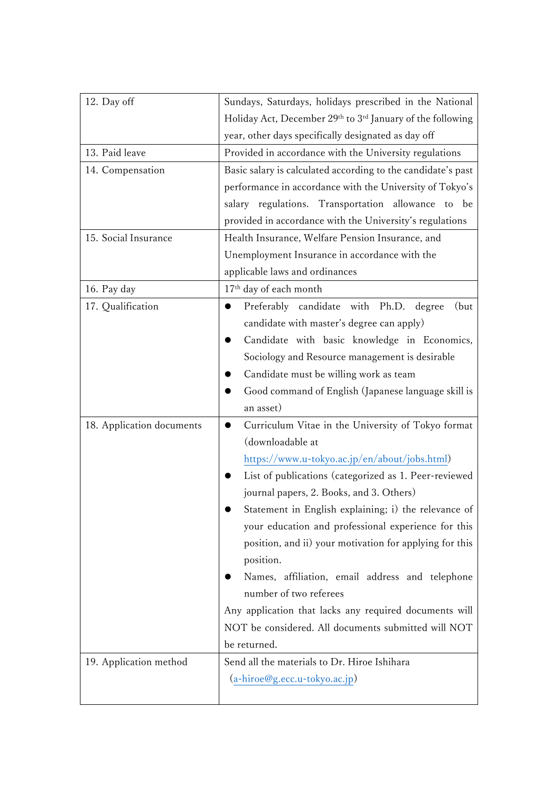| 12. Day off               | Sundays, Saturdays, holidays prescribed in the National      |
|---------------------------|--------------------------------------------------------------|
|                           | Holiday Act, December 29th to 3rd January of the following   |
|                           | year, other days specifically designated as day off          |
| 13. Paid leave            | Provided in accordance with the University regulations       |
| 14. Compensation          | Basic salary is calculated according to the candidate's past |
|                           | performance in accordance with the University of Tokyo's     |
|                           | salary regulations. Transportation allowance to be           |
|                           | provided in accordance with the University's regulations     |
| 15. Social Insurance      | Health Insurance, Welfare Pension Insurance, and             |
|                           | Unemployment Insurance in accordance with the                |
|                           | applicable laws and ordinances                               |
| 16. Pay day               | 17 <sup>th</sup> day of each month                           |
| 17. Qualification         | Preferably candidate with Ph.D. degree<br>(but)<br>●         |
|                           | candidate with master's degree can apply)                    |
|                           | Candidate with basic knowledge in Economics,                 |
|                           | Sociology and Resource management is desirable               |
|                           | Candidate must be willing work as team                       |
|                           | Good command of English (Japanese language skill is          |
|                           | an asset)                                                    |
| 18. Application documents | Curriculum Vitae in the University of Tokyo format           |
|                           | (downloadable at                                             |
|                           | https://www.u-tokyo.ac.jp/en/about/jobs.html)                |
|                           | List of publications (categorized as 1. Peer-reviewed        |
|                           | journal papers, 2. Books, and 3. Others)                     |
|                           | Statement in English explaining; i) the relevance of         |
|                           | your education and professional experience for this          |
|                           | position, and ii) your motivation for applying for this      |
|                           | position.                                                    |
|                           | Names, affiliation, email address and telephone              |
|                           | number of two referees                                       |
|                           | Any application that lacks any required documents will       |
|                           | NOT be considered. All documents submitted will NOT          |
|                           | be returned.                                                 |
| 19. Application method    | Send all the materials to Dr. Hiroe Ishihara                 |
|                           | (a-hiroe@g.ecc.u-tokyo.ac.jp)                                |
|                           |                                                              |